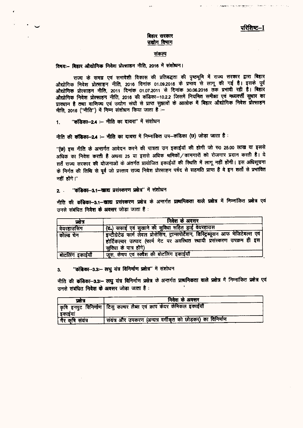#### बिहार सरकार उद्योग विमाग

#### संकल्प

#### विषय:- बिहार औद्योगिक निवेश प्रोत्साहन नीति, 2016 में संशोधन।

राज्य के समग्र एवं समावेशी विकास की प्रतिबद्धता की पृष्ठभूमि में राज्य सरकार द्वारा बिहार औद्योगिक निवेश प्रोत्साहन नीति, 2016 दिनांक 01.09.2016 के प्रभाव से लागू की गई है। इसके पूर्व औद्योगिक प्रोत्साहन नीति, 2011 दिनांक 01.07.2011 से दिनांक 30.06.2016 तक प्रभावी रही है। बिहार औद्योगिक निवेश प्रोत्साहन नीति, 2016 की कंडिका-10.2.2 जिसमें नियमित समीक्षा एवं मध्यवर्त्ती सुधार का प्राक्धान है तथा वाणिज्य एवं उद्योग संघों से प्राप्त सुझावों के आलोक में बिहार औद्योगिक निवेश प्रोत्साहन नीति, 2016 ("नीति") में निम्न संशोधन किया जाता है :-

1. "कंडिका-2.4 :-- नीति का दायरा" में संशोधन

नीति की कंडिका-2.4 :- नीति का दायरा में निम्नांकित उप-कंडिका (छ) जोडा जाता है :

"(छ) इस नीति के अन्तर्गत आवेदन करने की पात्रता उन इकाईयों की होगी जो रु0 25.00 लाख या इससे अधिक का निवेश करती है अथवा 25 या इससे अधिक श्रमिकों / कामगारों को रोजगार प्रदान करती है। ये शर्तें राज्य सरकार की योजनाओं के अंतर्गत प्रायोजित इकाईयों की स्थिति में लागू नहीं होंगी। इस अधिसूचना के निर्गत की तिथि से पूर्व जो प्रस्ताव राज्य निवेश प्रोत्साहन पर्षद से सहमति प्राप्त है वे इन शर्तों से प्रभावित नहीं होंगे। $^{\prime\prime}$ 

#### 2. "कंडिका-3.1-खाद्य प्रसंस्करण प्रक्षेत्र" में संशोधन

नीति की कंडिका-3.1-खाद्य प्रसंस्करण प्रक्षेत्र के अन्तर्गत प्राथमिकता वाले प्रक्षेत्र में निम्नांकित प्रक्षेत्र एवं उनसे संबंधित निवेश के अवसर जोड़ा जाता है :

| प्रक्षेत्र        | निवेश के अवसर                                                                                                                                                                              |  |  |  |  |  |  |  |
|-------------------|--------------------------------------------------------------------------------------------------------------------------------------------------------------------------------------------|--|--|--|--|--|--|--|
| वेयरहाउसिंग       | (ड.) सफाई एवं सुखाने की सुविधा सहित ड्राई वेयरहाउस                                                                                                                                         |  |  |  |  |  |  |  |
| कोल्ड चेन         | इन्टीग्रेटेड फार्म लेवल प्रोसेसिंग, ट्रान्सपोर्टेशन, डिस्ट्रिब्यूसन आफ मेजिटेबल्स एवं<br>होर्टिकल्चर उत्पाद (फार्म गेट पर अवस्थित स्थायी प्रसंस्करण उपक्रम ही इस<br>सुविधा के पात्र होंगे) |  |  |  |  |  |  |  |
| ं बोटलिंग इकाईयौँ | जुस, केचप एवं स्क्वैश की बोटलिंग इकाईयाँ                                                                                                                                                   |  |  |  |  |  |  |  |

# 3. "कंडिका-3.3:- लघु यंत्र विनिर्माण प्रक्षेत्र" में संशोधन

नीति की कंडिका-3.3:- लघु यंत्र विनिर्माण प्रक्षेत्र के अन्तर्गत प्राथमिकता वाले प्रक्षेत्र में निम्नांकित प्रक्षेत्र एवं उनसे संबंधित नि**वेश के अवस**र जोड़ा जाता है:

| फ्रोत्र          | निवेश के अवसर                                                       |
|------------------|---------------------------------------------------------------------|
|                  | किषि इनपुट विनिर्माण टिसु कल्चर लैब्स एवं क्राप केयर केमिकल इकाईयाँ |
| ' इकाइया         |                                                                     |
| गैर कृषि संयंत्र | ' संयंत्र और उपकरण (अन्यत्र वर्गीकृत को छोड़कर) का विनिर्माण        |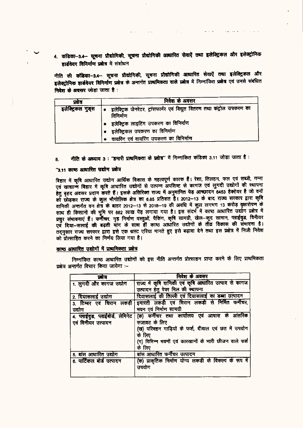4. कंडिका-3.4- सूचना प्रौद्योगिकी, सूचना प्रौद्योगिकी आधारित सेवाएँ तथा इलेक्ट्रिकल और इलेक्ट्रोनिक हार्डवेयर विनिर्माण प्रक्षेत्र में संशोधन

नीति की कंडिका-3.4-- सूचना प्रौद्योगिकी, सूचना प्रौद्योगिकी आधारित सेवाएँ तथा इलेक्ट्रिकल और इलेक्ट्रोनिक हार्डवेयर विनिर्माण प्रक्षेत्र के अन्तर्गत प्राथमिकता वाले प्रक्षेत्र में निम्नांकित प्रक्षेत्र एवं उनसे संबंधित निवेश के अवसर जोड़ा जाता है :

| प्रसंत्र          | निवेश के अवसर                                                                        |
|-------------------|--------------------------------------------------------------------------------------|
| इलेक्ट्रिकल गुड्स | इलेक्ट्रिक जेनरेटर, ट्रांसफार्मर एवं विद्युत वितरण तथा कंट्रोल उपकरण का<br>विनिर्माण |
|                   | ● इलेक्ट्रिक लाइटिंग उपकरण का विनिर्माण                                              |
|                   | • इलेक्ट्रिकल उपकरण का विनिर्माण                                                     |
|                   | वायरिंग एवं वायरिंग उपकरण का विनिर्माण                                               |

नीति के अध्याय 3 : "हमारी प्राथमिकता के प्रक्षेत्र" में निम्नांकित कंडिका 3.11 जोड़ा जाता है : 5.

#### "3.11 काष्ठ आधारित उद्योग प्रक्षेत्र

बिहार में कृषि आधारित उद्योग आर्थिक विकास के महत्वपूर्ण कारक हैं। रेशा, तिलहन, फल एवं सब्जी, गन्ना एवं खाद्यान्म बिहार में कृषि आधारित उद्योगों से उत्पन्न अपशिष्ट से कागज एवं लुगदी उद्योगों की स्थापना हेतु बृहद अवसर प्रदान करते हैं। इसके अतिरिक्त राज्य में अनुमानित पेड़ आच्छादन 6453 हेक्टेयर है जो वनों को छोड़कर राज्य के कुल भौगोलिक क्षेत्र का 6.85 प्रतिशत है। 2012-13 के बाद राज्य सरकार द्वारा कृषि वानिकी अन्तर्गत वन क्षेत्र के बाहर 2012-13 से 2018-19 की अवधि में कुल लगभग 13 करोड़ वृसारोपण के साथ ही किसानों की भूमि पर 882 लाख पेंड़ लगाया गया है। इस संदर्भ में काष्ठ आधारित उद्योग प्रक्षेत्र में प्रचुर संभावनाएं हैं। फर्नीचर, गृह निर्माण वस्तुओं, पैकिंग, कृषि सामग्री, खेल-कूद सामान, प्लाईवुड, विनीयर एवं दिया-सलाई की बढ़ती मांग के साथ हीं काष्ठ आधारित उद्योगों के तीव्र विकास की संभावना है। तद्नुसार राज्य सरकार द्वारा इसे एक धस्ट एरिया मानते हुए इसे बढ़ावा देने तथा इस प्रक्षेत्र में निजी निवेश को प्रोत्साहित करने का निर्णय लिया गया है।

### कान्ठ आधारित उद्योगों में प्राथमिकता प्रक्षेत्र

निम्नांकित काष्ठ आधारित उद्योगों को इस नीति अन्तर्गत प्रोत्साहन प्राप्त करने के लिए प्राथमिकता प्रक्षेत्र अन्तर्गत विचार किया जायेगा :-

| জান                              | निवेश के अवसर                                          |  |  |  |  |
|----------------------------------|--------------------------------------------------------|--|--|--|--|
| 1. लुगदी और कागज उद्योग          | राज्य में कृषि वानिकी एवं कृषि आधारित उत्पाद से कागज   |  |  |  |  |
|                                  | उत्पादन हेतु पेपर मिल की स्थापना                       |  |  |  |  |
| 2. दियासलाई उद्योग               | दियासलाई की तिल्ली एवं दियासलाई का डब्बा उत्पादन       |  |  |  |  |
| 3. टिम्बर एवं चिरान लकड़ी        | इमारती लकड़ी एवं चिरान लकड़ी से निर्मित फर्नीचर,       |  |  |  |  |
| उद्योग                           | भवन एवं निर्माण सामग्री                                |  |  |  |  |
| 4. प्लाईवुड, प्लाईबोर्ड, लेमिनेट | (क) फर्नीचर तथा कार्यालय एवं आवास के आंतरिक            |  |  |  |  |
| एवं विनीयर उत्पादन               | सजावट के लिए                                           |  |  |  |  |
|                                  | (ख) परिवहन गाड़ियों के फर्श, दीवाल एवं छत में उपयोग    |  |  |  |  |
|                                  | के लिए                                                 |  |  |  |  |
|                                  | (ग) विभिन्न भवनों एवं कारखानों के भारी छीजन वाले फर्श  |  |  |  |  |
|                                  | के लिए                                                 |  |  |  |  |
| 5. बांस आधारित उद्योग            | बांस आधारित फर्नीचर उत्पादन                            |  |  |  |  |
| 6. पार्टिकल बोर्ड उत्पादन        | (क) प्राकृतिक निर्माण योग्य लकड़ी के विकल्प के रूप में |  |  |  |  |
|                                  | उपयोग                                                  |  |  |  |  |
|                                  |                                                        |  |  |  |  |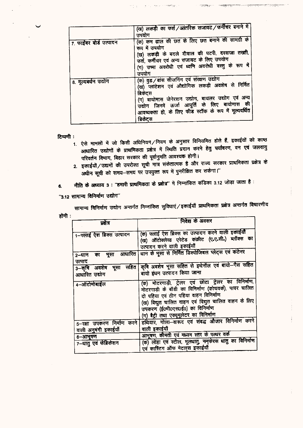|                        | (ख) लकड़ी का फर्श /आंतरिक सजावट /फर्नीचर बनाने में   |
|------------------------|------------------------------------------------------|
|                        | जपयोग                                                |
|                        | (क) कम ढाल की छत के लिए छत बनाने की सामग्री के       |
| 7. फाईबर बोर्ड उत्पादन |                                                      |
|                        | रूप में उपयोग                                        |
|                        | (ख) लकड़ी के बदले दीवाल की पटरी, दरवाजा तख्ती,       |
|                        |                                                      |
|                        | फर्श, फर्नीचर एवं अन्य सजावट के लिए उपयोग            |
|                        | (ग) उष्मा अवरोधी एवं ध्वनि अवरोधी वस्तु के रूप में   |
|                        |                                                      |
|                        | उपयोग                                                |
|                        | (क) वुड/बांस सीजनिंग एवं संरक्षण उद्योग              |
| 8. मूल्यबर्धन उद्योग   |                                                      |
|                        | (ख) प्लांटेशन एवं औद्योगिक लकड़ी अवशेष से निर्मित    |
|                        | ब्रिकेटस                                             |
|                        |                                                      |
|                        | (ग) बायोमास जेनेरशन उद्योग, बायलर उद्योग एवं अन्य    |
|                        | उद्योग जिनमें ऊर्जा आपूर्ति के लिए बायोमास की        |
|                        | आवष्यकता हो, के लिए फीड स्टॉक के रूप में मूल्यवर्धित |
|                        |                                                      |
|                        | ब्रिकेट्स                                            |
|                        |                                                      |

7t¥n.

टिप्पणी :

- 1. ऐसे मामलों में जो किसी अधिनियम/नियम के अनुसार विनियमित होते हैं, इकाईयों को काष्ठ आधारित उद्योगों के प्राथमिकता प्रक्षेत्र में स्थिति प्रदान करने हेतु पर्यावरण, वन एवं जलवायु परिवर्तन विभाग, बिहार सरकार की पूर्वानुमति आवश्यक होगी।
- 2. इकाईयों / उद्यमों की उपरोक्त सूची मात्र संकेतात्मक है और राज्य सरकार प्राथमिकता प्रक्षेत्र के अधीन सूची को समय-समय पर उपयुक्त रूप में पुनरीक्षित कर सकेगा।"
- नीति के अध्याय 3 : "हमारी प्राथमिकता के प्रक्षेत्र" में निम्नांकित कंडिका 3.12 जोड़ा जाता है : 6.
- "3.12 सामान्य विनिर्माण उद्योग"

सामान्य विनिर्माण उद्योग अन्तर्गत निम्नांकित सुविधाएं / इकाईयाँ प्राथमिकता प्रक्षेत्र अन्तर्गत विचारणीय होंगी :

| प्रसेत्र                                           | निवेश के अवसर                                                                                                                                                                                                                                                                              |
|----------------------------------------------------|--------------------------------------------------------------------------------------------------------------------------------------------------------------------------------------------------------------------------------------------------------------------------------------------|
| 1-फ्लाई ऐश ब्रिक्स उत्पादन                         | (क) पलाई ऐश ब्रिक्स का उत्पादन करने वाली इकाईयों<br>(ख) ऑटोक्लेय्ड एरेटेड कंक्रीट (ए.ए.सी.) ब्लॉक्स का<br>उत्पादन करने वाली इकाईयाँ                                                                                                                                                        |
| 2–धान<br>उत्पाद                                    | का भूसा आधारित धान के भूसा से निर्मित डिस्पोजिबल प्लेट्स एवं कंटेनर                                                                                                                                                                                                                        |
| <u>3–कृषि अवशेष भू</u> सा<br>आधारित उद्योग         | सहित कृषि अवशेष भूसा सहित से इथेनॉल एवं बायो-गैस सहित<br>बायो इंधन उत्पादन किया जाना                                                                                                                                                                                                       |
| 4-ऑटोमोबाईल                                        | (क) मोटरगाड़ी, ट्रेलर एवं छोटा ट्रेलर का विनिर्माण,<br>मोटरगाड़ी के बॉडी का विनिर्माण (कोचवर्क), पावर चालित<br>दो पहिया एवं तीन पहिया वाहन विनिर्माण<br>(ख) विद्युत चालित वाहन एवं विद्युत चालित वाहन के लिए<br>उपकरण (ई0भी0एस0ई0) का विनिर्माण<br>(ग) बैट्री तथा एक्यूमूलेटर का विनिर्माण |
| 5-रक्षा उपकरण निर्माण करने<br>वाली अनुबंगी इकाईयाँ | हथियार, गोला-वारूद एवं संबद्ध औजार विनिर्माण करने<br>वाली इकाईयाँ                                                                                                                                                                                                                          |
| 6-आभूषण                                            | आभूषण, कीमती एवं मध्यम स्तर के पत्थर वर्क                                                                                                                                                                                                                                                  |
| 7-धातु एवं फेब्रिकेशन                              | (क) लोहा एवं स्टील, मूलधातु, ननफेरस धातु का विनिर्माण<br>एवं कास्टिंग ऑफ मेटलस इकाईयाँ                                                                                                                                                                                                     |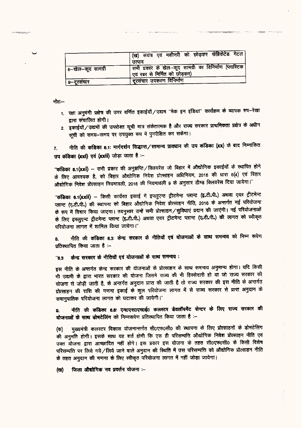|                   | ' (ख) संयंत्र एवं मशीनरी को छोड़कर फेब्रिकेटेड मेटल                                        |
|-------------------|--------------------------------------------------------------------------------------------|
|                   | उत्पाद                                                                                     |
| 8–खेल–कूद सामग्री | ' सभी प्रकार के खेल-कूद सामग्री का विनिर्माण (प्लास्टिक<br>ं एवं रबर से निर्मित को छोड़कर) |
| ९–दूरसंचार        | दरसंचार उपकरण विनिर्माण                                                                    |

नोट≔

**X** MENING MORE OF

- 1. रक्षा अनुषंगी प्रक्षेत्र की उपर वर्णित इकाईयाँ/उद्यम "मेक इन इंडिया" कार्यक्रम के व्यापक रुप-रेखा द्वारा संचालित होगी।
- 2. इकाईयों / उद्यमों की उपरोक्त सूची मात्र संकेतात्मक है और राज्य सरकार प्राथमिकता प्रक्षेत्र के अधीन सूची को समय-समय पर उपयुक्त रूप में पुनरीक्षित कर सकेगा।

नीति की कंडिका 6.1: मार्गदर्शन सिद्धान्त / सामान्य प्राक्धान की उप कंडिका (xx) के बाद निम्नांकित  $\overline{r}$ उप कंडिका (xxi) एवं (xxii) जोड़ा जाता है :-

"कंडिका 8.1(xxi) – सभी प्रकार की अनुज्ञप्ति/क्लियरेंस जो बिहार में औद्योगिक इकाईयों के स्थापित होने के लिए आवश्यक है, को बिहार औद्योगिक निवेश प्रोत्साहन अधिनियम, 2016 की धारा 6(4) एवं बिहार औद्योगिक निवेश प्रोत्साहन नियमावली, 2016 की नियमावली 9 के अनुसार डीम्ड क्लियरेंस दिया जायेगा।"

"कंडिका 6.1(xxii) – किसी कार्यरत इकाई में इफ्तुएन्ट ट्रीटमेन्ट प्लान्ट (इ.टी.पी.) अथवा एयर ट्रीटमेन्ट प्लान्ट (ए.टी.पी.) की स्थापना को बिहार औद्योगिक निवेश प्रोत्साहन नीति, 2018 के अन्तर्गत नई परियोजना के रूप में विचार किया जाएगा। तदनुसार उन्हें सभी प्रोत्साहन / सुविधाएं प्रदान की जाएंगी। नई परियोजनाओं के लिए इफ्लुएन्ट ट्रीटमेन्ट प्लान्ट (इ.टी.पी.) अथवा एयर ट्रीटमेन्ट प्लान्ट (ए.टी.पी.) की लागत को स्वीकृत परियोजना लागत में शामिल किया जायेगा।"

नीति की कंडिका 6.3: केन्द्र सरकार के नीतियों एवं योजनाओं के साथ समन्वय को निम्न रूपेण ß. प्रतिस्थापित किया जाता है :--

केन्द्र सरकार के नीतियों एवं योजनाओं के साथ समन्वय:  $"6.3"$ 

इस नीति के अन्तर्गत केन्द्र सरकार की योजनाओं के प्रोत्साहन के साथ समन्वय अनुमान्य होगा। यदि किसी भी उद्यमी के द्वारा भारत सरकार की योजना जिसमे राज्य की भी हिस्सेदारी हो या जो राज्य सरकार की योजना से जोड़ी जाती है, के अन्तर्गत अनुदान प्राप्त की जाती है तो राज्य सरकार की इस नीति के अन्तर्गत प्रोत्साहन की राशि की गणना इकाई के कुल परियोजना लागत में से राज्य सरकार से प्राप्त अनुदान के समानुपातिक परियोजना लागत को घटाकर की जायेगी।"

नीति की कंडिका 6.6: एम0एस0एम0ई0 कलस्टर डेवलॉपमेंट सेन्टर के लिए राज्य सरकार की  $\bullet$ योजनाओं के साथ डोमटेलिंग को निम्नरूपेण प्रतिस्थापित किया जाता है :-

मुख्यमंत्री कलस्टर विकास योजनान्तर्गत सी0एफ0सी0 की स्थापना के लिए प्रोत्साहनों के डोभटेलिंग (ক) की अनुमति होगी। इसके साथ यह शर्त होगी कि एक ही परिसम्पत्ति औद्योगिक निवेश प्रोत्साहन नीति एवं उक्त योजना द्वारा आच्छादित नहीं होंगे। इस प्रकार इस योजना के तहत सी०एफ०सी० के किसी विशेष परिसम्पत्ति पर लिये गये/लिये जाने वाले अनुदान की स्थिति में उस परिसम्पत्ति को औद्योगिक प्रोत्साहन नीति के तहत अनुदान की गणना के लिए स्वीकृत परियोजना लागत में नहीं जोड़ा जायेगा।

जिला औद्योगिक नव प्रवर्त्तन योजना :--(ত্ম)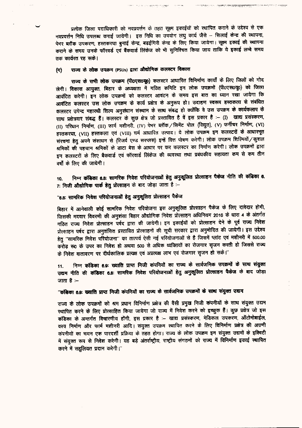प्रत्येक जिला पदाधिकारी को नवप्रवर्त्तन के तहत सूक्ष्म इकाईयों को स्थापित कराने के उद्देश्य से एक नवप्रवर्त्तन निधि उपलब्ध कराई जायेगी। इस निधि का उपयोग लघु कार्य जैसे – सिलाई केन्द्र की स्थापना, पेभर ब्लॉक उपकरण, हस्तकरघा बुनाई केन्द्र, बढ़ईगिरी केन्द्र के लिए किया जायेगा। सूक्ष्म इकाई की स्थापना कराने के समय उनके फॉरवर्ड एवं बैंकवार्ड लिंकेज को भी सुनिश्चित किया जाय ताकि ये इकाई लम्बे समय तक कार्यरत रह सके।

innergelige zinen.

राज्य के लोक उपक्रम (PSUs) द्वारा औद्योगिक कलस्टर विकास (ন)

राज्य के सभी लोक उपक्रम (पी0एस0यू0) कलस्टर आधारित विनिर्माण कार्यों के लिए जिलों को गोद लेगी। विकास आयुक्त, बिहार के अध्यक्षता में गठित कमिटि इन लोक उपक्रमों (पी०एस०यू०) को जिला आवंटित करेगी। इन लोक उपक्रमों को कलस्टर आवंटन के समय इस बात का ध्यान रखा जायेगा कि आवंटित कलस्टर उस लोक उपक्रम के कार्य प्रक्षेत्र के अनुरूप हो। उदाहण स्वरूप हस्तकला से संबंधित कलस्टर उपेन्द्र महारथी शिल्प अनुसंधान संस्थान के साथ संबद्ध हो क्योंकि वे उस उपक्रम के कार्यकलाप के साथ प्रक्षेत्रवार संबद्ध हैं। कलस्टर के कुछ क्षेत्र जो प्रस्तावित है वें इस प्रकार है :- (I) खाद्य प्रसंस्करण, (II) परिधान निर्माण, (III) फार्म मशीनरी, (IV) पेभर ब्लॉक / सिमेंट पोल (विद्युत), (V) फर्नीचर निर्माण, (VI) हस्तकरघा, (VII) हस्तकला एवं (VIII) चर्म आधारित उत्पाद। ये लोक उपक्रम इन कलस्टरों के आधारभूत संरचना हेतु अपने संसाधन से (रिजर्व एण्ड सरप्लस) इन्हें वित्त पोषण करेगी। लोक उपक्रम शिल्पियों ⁄ कुशल श्रमिकों की पहचान श्रमिकों के डाटा बेस के आधार पर कर कलस्टर का निर्माण करेगी। लोक उपक्रमों द्वारा इन कलस्टरों के लिए बैकवार्ड एवं फॉरवार्ड लिंकेज की व्यवस्था तथा प्रबंधकीय सहायता कम से कम तीन वर्षों के लिए की जायेगी।

निम्न कंडिका 8.8: सामरिक निवेश परियोजनाओं हेतु अनुकूलित प्रोत्साहन पैकेज नीति की कंडिका 6. 10. 7: निजी औद्योगिक पार्क हेतु प्रोत्साहन के बाद जोड़ा जाता है :-

#### "6.8: सामरिक निवेश परियोजनाओं हेतु अनुकूलित प्रोत्साहन पैकेज

बिहार में आनेवाली कोई सामरिक निवेश परियोजना इस अनुकूलित प्रोत्साहन पैकेज के लिए दावेदार होगी, जिसकी मदवार विवरणी की अनुशंसा बिहार औद्योगिक निवेश प्रोत्साहन अधिनियम 2016 के धारा 4 के अंतर्गत गठित राज्य निवेश प्रोत्साहन पर्षद द्वारा की जायेगी। इन इकाईयों को प्रोत्साहन देने के पूर्व राज्य निवेश प्रोत्साहन पर्षद द्वारा अनुशंसित प्रस्तावित प्रोत्साहनों की सूची सरकार द्वारा अनुमोदित की जायेगी। इस उद्देश्य हेतु "सामरिक निवेश परियोजना" का तात्पर्य ऐसी नई परियोजनाओं से है जिसमें प्लांट एवं मशीनरी में 500.00 करोड़ रू0 के उपर का निवेश हो अथवा 500 से अधिक व्यक्तियों का रोजगार सृजन करती हो जिससे राज्य के निवेश वातावरण पर दीर्धकालिक प्रत्यक्ष एवं अप्रत्यक्ष लाभ एवं रोजगार सृजन हो सके।"

निम्न कंडिका 6.9: ख्याति प्राप्त निजी कंपनियों का राज्य के सार्वजनिक उपक्रमों के साथ संयुक्त  $11.$ उद्यम नीति की कंडिका 6.8: सामरिक निवेश परियोजनाओं हेतु अनुकूलित प्रोत्साहन पैकेज के बाद जोड़ा जाता है $-$ 

# ''कंडिका 6.9: ख्याति प्राप्त निजी कंपनियों का राज्य के सार्वजनिक उपक्रमों के साथ संयुक्त उद्यम

राज्य के लोक उपक्रमों को श्रम प्रधान विनिर्माण प्रक्षेत्र की वैसी प्रमुख निजी कंपनीयों के साथ संयुक्त उद्यम स्थापित करने के लिए प्रोत्साहित किया जायेगा जो राज्य में निवेश करने को इच्छुक हैं। कुछ प्रक्षेत्र जो इस कडिका के अन्तर्गत विचारणीय होंगी, इस प्रकार है :- खाद्य प्रसंस्करण, मेडिकल उपकरण, ऑटोमोबाईल, वस्त्र निर्माण और फार्म मशीनरी आदि। संयुक्त उपक्रम स्थापित करने के लिए विनिर्माण प्रक्षेत्र की अग्रणी कंपनीयों का चयन एक पारदर्शी प्रक्रिया के तहत होगा। राज्य के लोक उपक्रम इन संयुक्त उद्यमों के इक्विटी में संयुक्त रूप से निवेश करेगी। यह बड़े अंतर्राष्ट्रीय, राष्ट्रीय संगठनों को राज्य में विनिर्माण इकाई स्थापित करने में सहलियत प्रदान करेगी।"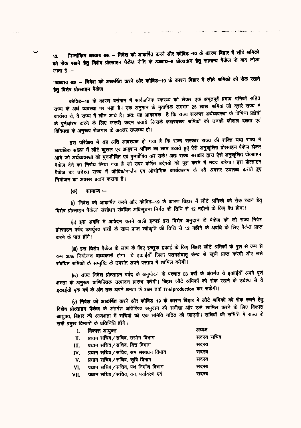निम्नांकित अध्याय 6अ – निवेश को आकर्षित करने और कोविड़-19 के कारण बिहार में लौटे श्रमिको  $12.$ को रोक रखने हेतु विशेष प्रोत्साहन पैकेज नीति के अध्याय-6 प्रोत्साहन हेतु सामान्य पैकेज के बाद जोड़ा जाता है :–

"अध्याय 6अ – निवेश को आकर्षित करने और कोविड़-19 के कारण बिहार में लौटे श्रमिको को रोक रखने हेत विशेष प्रोत्साहन पैकेज

कोविड—19 के कारण वर्त्तमान में सार्वजनिक स्वास्थ्य को लेकर एक अभूतपूर्व प्रभाव श्रमिकों सहित राज्य के अर्थ व्यवस्था पर पड़ा है। एक अनुमान के मुताविक लगभग 25 लाख श्रमिक जो दूसरे राज्य में कार्यरत थे, वे राज्य में लौट आये है। अतः यह आवश्यक है कि राज्य सरकार अर्थव्यवस्था के विभिन्न प्रक्षेत्रों के पुर्नआरम करने के लिए जरूरी कदम उठाये जिसके फलस्वरूप श्रमिकों को उनकी कौशल दक्षता एवं विविधता के अनुरूप रोजगार के अवसर उपलब्ध हो।

इस परिप्रेक्ष्य में यह अति आवश्यक हो गया है कि राज्य सरकार राज्य की शक्ति यथा राज्य में अत्यधिक संख्या में लौटे कुशल एवं अकुशल श्रमिक का लाभ उठाते हुए ऐसे अनुकूलित प्रोत्साहन पैकेज लेकर आये जो अर्थव्यवस्था को पुनर्जीवित एवं पुनर्पोषित कर सके। अतः राज्य सरकार द्वारा ऐसे अनुकूलित प्रोत्साहन पैकेज देने का निर्णय लिया गया है जो उपर वर्णित उदेश्यों को पूरा करने में मदद करेगा। इस प्रोत्साहन पैकेज का उदेश्य राज्य में जीविकोपार्जन एवं औद्योगिक कार्यकलाप के नये अवसर उपलब्ध कराते हुए नियोजन का अवसर प्रदान कराना है।

सामान्य ≔ (ক)

(i) 'निवेश को आकर्षित करने और कोविड–19 के कारण बिहार में लौटे श्रमिको को रोक रखने हेतु विशेष प्रोत्साहन पैकेज' संशोधन संबंधित अधिसूचना निर्गत की तिथि से 12 महीनों के लिए वैध होगा।

(ii) इस अवधि में आवेदन करने वाली इकाई इस विशेष अनुदान के पैकेज को जो राज्य निवेश प्रोत्साहन पर्षद उपर्युक्त शर्त्तो के साथ प्राप्त स्वीकृति की तिथि से 12 महीने के अवधि के लिए पैकेज प्राप्त करने के पात्र होंगे।

(iii) इस विशेष पैकेज के लाभ के लिए इच्छुक इकाई के लिए बिहार लौटे श्रमिकों के पुल से कम से कम 20% नियोजन बाध्यकारी होगा। ये इकाईयाँ जिला परामर्शदातृ केन्द्र से सूची प्राप्त करेगी और उसे संबंधित श्रमिकों के सम्पुष्टि के उपरांत अपने प्रस्ताव में शामिल करेगी।

(iv) राज्य निवेश प्रोत्साहन पर्षद के अनुमोदन के पश्चात 03 वर्षों के अंतर्गत ये इकाईयाँ अपने पूर्ण क्षमता के अनुरूप वाणिज्यिक उत्पादन प्रारम्भ करेगी। बिहार लौटे श्रमिकों को रोक रखने के उदेश्य से ये इकाईयाँ एक वर्ष के अंत तक अपने क्षमता के 25% तक Trial production कर सकेगी।

(v) निवेश को आकर्षित करने और कोविड-19 के कारण बिहार में लौटे श्रमिको को रोक रखने हेतु विशेष प्रोत्साहन पैकेज के अंतर्गत अतिरिक्त अनुदान की समीक्षा और उसे शामिल करने के लिए विकास आयुक्त, बिहार की अध्यक्षता में सचिवों की एक समिति गठित की जाएगी। सचिवों की समिति में राज्य के सभी प्रमुख विभागों के प्रतिनिधि होंगे।

| 1. | विकास आयुक्त                              | अध्यक्ष    |
|----|-------------------------------------------|------------|
| Н. | प्रधान सचिव ⁄ सचिव, उद्योग विभाग          | सदस्य सचिव |
|    | III. प्रधान सचिव/सचिव, वित्त विभाग        | सदस्य      |
|    | IV. प्रधान सचिव/सचिव, श्रम संसाधन विभाग   | सदस्य      |
|    | V. प्रधान सचिव/सचिव, कृषि विभाग           | सदस्य      |
|    | VI. प्रधान सचिव/सचिव, पथ निर्माण विभाग    | सदस्य      |
|    | VII. प्रधान सचिव ⁄ सचिव, वन, पर्यावरण एवं | सदस्य      |
|    |                                           |            |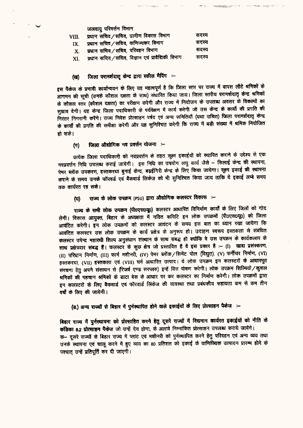जलवाय परिवर्त्तन विभाग

| VIII. | प्रधान सचिव/सचिव, ग्रामीण विकास विभाग              | सदस्य |
|-------|----------------------------------------------------|-------|
| IX.   | प्रधान सचिव / सचिव, वाणिज्यकर विभाग                | सदस्य |
|       | $X$ , प्रधान सचिव / सचिव, परिवहन विभाग             | सदस्य |
| XI.   | प्रधान सचिव / सचिव, विज्ञान एवं प्रावैद्यिकी विभाग | सदस्य |

#### जिला परामर्शदातृ केन्द्र द्वारा स्कील मैपिंग :-(स)

इस पैकेज के प्रभावी कार्यान्वयन के लिए यह महत्वपूर्ण है कि जिला स्तर पर राज्य में वापस लौटे श्रमिकों के आगमन की सूची (उनके कौशल दक्षता के साथ) संधारित किया जाय। जिला स्तरीय परामर्शदातृ केन्द्र श्रमिकों के कौशल स्तर (कौशल दक्षता) का परीक्षण करेगी और राज्य में नियोजन के उपलब्ध अवसर के विकल्पों का सुझाव देगी। यह केन्द्र जिला पदाधिकारी के पर्यवेक्षण में कार्य करेगी जो उस केन्द्र के कार्यो की प्रगति की निरंतर निगरानी करेंगे। राज्य निवेश प्रोत्साहन पर्षद एवं अन्य समितियाँ (यथा उचित) जिला परामर्शदातृ केन्द्र के कार्यों की प्रगति की समीक्षा करेगी और यह सुनिश्चित करेगी कि राज्य में बड़ी संख्या में श्रमिक नियोजित हो सके।

The complete of the con-

#### जिला औद्योगिक नव प्रवर्त्तन योजना :- $(\pi)$

प्रत्येक जिला पदाधिकारी को नवप्रवर्त्तन के तहत सूक्ष्म इकाईयों को स्थापित कराने के उद्देश्य से एक नवप्रवर्त्तन निधि उपलब्ध कराई जायेगी। इस निधि का उपयोग लघु कार्य जैसे – सिलाई केन्द्र की स्थापना, पेमर ब्लॉक उपकरण, हस्तकरघा बुनाई केन्द्र, बढ़ईगिरी केन्द्र के लिए किया जायेगा। सूक्ष्म इकाई की स्थापना कराने के समय उनके फॉरवर्ड एवं बैंकवार्ड लिंकेज को भी सुनिश्चित किया जाय ताकि ये इकाई लम्बे समय तक कार्यरत रह सके।

राज्य के लोक उपक्रम (PSU) द्वारा औद्योगिक कलस्टर विकास :-(ঘ)

राज्य के सभी लोक उपक्रम (पी0एस0यू0) कलस्टर आधारित विनिर्माण कार्यों के लिए जिलों को गोद लेगी। विकास आयुक्त, बिहार के अध्यक्षता में गठित कमिटि इन लोक उपक्रमों (पी0एस0यू0) को जिला आवंटित करेगी। इन लोक उपक्रमों को कलस्टर आवंटन के समय इस बात का ध्यान रखा जायेगा कि आवंटित कलस्टर उस लोक उपक्रम के कार्य प्रक्षेत्र के अनुरूप हो। उदाहण स्वरूप हस्तकला से संबंधित कलस्टर उपेन्द्र महारथी शिल्प अनुसंधान संस्थान के साथ संबद्ध हो क्योंकि वे उस उपक्रम के कार्यकलाप के साथ प्रक्षेत्रवार संबद्ध है। कलस्टर के कुछ क्षेत्र जो प्रस्तावित है वें इस प्रकार है :- (I) खाद्य प्रसंस्करण, (II) परिधान निर्माण, (III) फार्म मशीनरी, (IV) पेभर ब्लॉक / सिमेंट पोल (विद्युत), (V) फर्नीचर निर्माण, (VI) हस्तकरघा, (VII) हस्तकला एवं (VIII) चर्म आधारित उत्पाद। ये लोक उपक्रम इन कलस्टरों के आधारभूत संरचना हेतु अपने संसाधन से (रिजर्व एण्ड सरप्लस) इन्हें वित्त पोषण करेगी। लोक उपक्रम शिल्पियों / कुशल श्रमिकों की पहचान श्रमिकों के डाटा बेस के आधार पर कर कलस्टर का निर्माण करेगी। लोक उपक्रमों द्वारा इन कलस्टरों के लिए बैकवार्ड एवं फॉरवार्ड लिंकेज की व्यवस्था तथा प्रबंधकीय सहायता कम से कम तीन वर्षों के लिए की जायेगी।

# (ड.) अन्य राज्यों से बिहार में पुर्नस्थापित होने वाले इकाईयों के लिए प्रोत्साहन पैकेज :-

बिहार राज्य में पुर्नस्थापना को प्रोत्साहित करने हेतु दूसरे राज्यों में विद्यमान कार्यरत इकाईयों को नीति के कंडिका 6.2 प्रोत्साहन पैकेज जो उन्हें देय होगा, के अलावे निम्नांकित प्रोत्साहन उपलब्ध कराये जायेंगे। क- दूसरे राज्यों से बिहार राज्य में प्लांट एवं मशीनरी को पुर्नस्थापित करने हेतु परिवहन एवं अन्य व्यय तथा उनके स्थापना एवं चालू करने में हुए व्यय का 80 प्रतिशत को इकाई के वाणिज्यिक उत्पादन प्रारम्भ होने के पश्चात् उन्हें प्रतिपूर्ति कर दी जाएगी।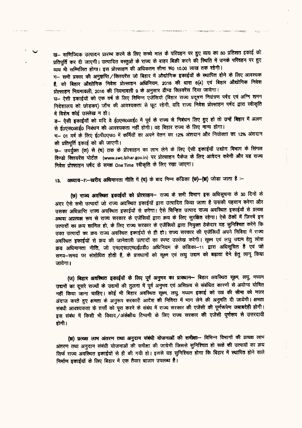ख- वाणिज्यिक उत्पादन प्रारम्भ करने के लिए कच्चे माल के परिवहन पर हुए व्यय का 80 प्रतिशत इकाई को प्रतिपूर्ति कर दी जाएगी। उत्पादित वस्तुओं के राज्य के बाहर बिक्री करने को स्थिति में उनके परिवहन पर हुए व्यय भी सम्मिलित होगा। इस प्रोत्साहन की अधिकतम सीमा रू0 10.00 लाख तक रहेगी।

ग- सभी प्रकार की अनुज्ञप्ति / क्लियरेंस जो बिहार में औद्योगिक इकाईयों के स्थापित होने के लिए आवश्यक है, को बिहार औद्योगिक निवेश प्रोत्साहन अधिनियम, 2016 की धारा 6(4) एवं बिहार औद्योगिक निवेश प्रोत्साहन नियमावली. 2016 की नियमावली 9 के अनुसार डीम्ड क्लियरेंस दिया जायेगा।

ध– ऐसी इकाईयों को एक वर्ष के लिए विभिन्न एजेंसियों (बिहार राज्य प्रदूषण नियंत्रण पर्षद एवं अग्नि शमन निदेशालय को छोड़कर) जाँच की आवश्यकता से छूट रहेगी, यदि राज्य निवेश प्रोत्साहन पर्षद द्वारा स्वीकृति में विशेष कोई उल्लेख न हो।

ड- ऐसी इकाईयों को यदि वे ई0एस0आई0 में पूर्व के राज्य से निबंधन लिए हुए हो तो उन्हें बिहार में अलग से ई0एस0आई0 निबंधन की आवश्यकता नहीं होगी। वह बिहार राज्य के लिए मान्य होगा।

च- 01 वर्ष के लिए ई0पी0एफ0 में कर्मियों का अपने वेतन का 12% अंशदान और नियोक्ता का 12% अंशदान की प्रतिपूर्ति इकाई को की जाएगी।

 $v$ - उपर्युक्त (क) से (च) तक के प्रोत्साहन का लाभ लेने के लिए ऐसी इकाईयाँ उद्योग विभाग के सिंगल विण्डो क्लियरेंस पोर्टल (www.swc.bihar.gov.in) पर प्रोत्साहन पैकेज के लिए आवेदन करेगी और यह राज्य निवेश प्रोत्साहन पर्षद के समक्ष One Time स्वीकृति के लिए रखा जाएगा।

अध्याय-7:--खरीद अधिमानता नीति में (च) के बाद निम्न कंडिका (छ)-(प्र) जोड़ा जाता है :-13.

(छ) राज्य अवस्थित इकाईयों को प्रोत्साहन- राज्य के सभी विभाग इस अधिसूचना के 30 दिनों के अंदर ऐसे सभी उत्पादों जो राज्य अवस्थित इकाईयों द्वारा उत्पादित किया जाता है उसकी पहचान करेगा और उसका अधिप्राप्ति राज्य अवस्थित इकाईयों से करेगा। ऐसे चिन्हित उत्पाद राज्य अवस्थित इकाईयों से प्रत्यक्ष अथवा अप्रत्यक्ष रूप से राज्य सरकार के एजेंसियों द्वारा क्रय के लिए सुरक्षित रहेगा। ऐसे ठेकों में जिनमें इन उत्पादों का क्रय शामिल हो, के लिए राज्य सरकार के एजेंसियों द्वारा नियुक्त ठेकेदार यह सुनिश्चित करेंगे कि उक्त उत्पादों का क्रय राज्य अवस्थित इकाईयों से ही हो। राज्य सरकार की एजेंसियाँ अपने निविदा में राज्य उक्त उत्पादा का क्रय राज्य जयास्थत इयाइया से ही हो। तज्ज तत्कार का रजाराजा जने मानना मानना<br>अवस्थित इकाईयों से क्रय की जानेवाली उत्पादों का स्पष्ट उल्लेख करेगी। सूक्ष्म एवं लघु उद्यम हेतु लोक<br>क्रय अधिमानता नीति, जो एम०एस०ए क्रय अधिमानता नीति, जो एम0एस0एम0ई0डी0 अधिनियम के कडिका—11 द्वारा अधिसूचित है एवं जो<br>समय—समय पर संशोधित होती है, के प्राक्धानों को सूक्ष्म एवं लघु उद्यम को बढ़ावा देने हेतु लागू किया जायेगा।

(ज) बिहार अवस्थित इकाईयों के लिए पूर्व अनुभव का प्राक्धान- बिहार अवस्थित सूक्ष्म, लघु, मध्यम उद्यमों का दूसरे राज्यों के उद्यमों की तुलना में पूर्व अनुभव एवं अस्तित्व से संबंधित कारणों से अयोग्य धोषित नहीं किया जाना चाहिए। कोई भी बिहार अवस्थित सूक्ष्म, लघु, मध्यम इकाई को उम्र की सीमा को नजर अंदाज करते हुए क्षमता के अनुरूप सरकारी आदेश की निविदा में भाग लेने की अनुमति दी जायेगी। क्षमता संबंधी आवश्यकता के शत्तों को पूरा करने के संबंध में राज्य सरकार की एजेंसी की पूर्णरूपेण जबाबदेही होगी। इस संबंध में किसी भी विवाद/अंकेश्रीय टिप्पणी के लिए राज्य सरकार की एजेंसी पूर्णरूप से उत्तरदायी होगी ।

(झ) प्रत्यक्ष लाभ अंतरण तथा अनुदान संबंधी योजनाओं की समीक्षा- विभिन्न विभागों की प्रत्यक्ष लाभ अंतरण तथा अनुदान संबंधी योजनाओं की समीक्षा की जायेगी जिससे सुनिश्चित हो सके की उत्पादों का क्रय सिर्फ राज्य अवस्थित इकाईयों से ही की गयी हो। इससे यह सुनिश्चित होगा कि बिहार में स्थापित होने वाले निर्माण डकाईयों के लिए बिहार में एक तैयार बाजार उपलब्ध है।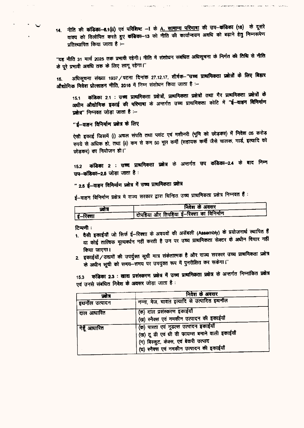14. नीति की कंडिका-6.1(ii) एवं परिशिष्ट -I के A. सामान्य परिमाषा की उप-कंडिका (16) के दूसरे वाक्य को विलोपित करते हुए कंडिका-13 को नीति की कार्यान्वयन अवधि को बढ़ाने हेतु निम्नरूपेण प्रतिस्थापित किया जाता है :--

"यह नीति 31 मार्च 2025 तक प्रभावी रहेगी। नीति में संशोधन संबंधित अधिसूचना के निर्गत की तिथि से नीति के पूरे प्रभावी अवधि तक के लिए लागू रहेगा।"

अधिसूचना संख्या 1937/पटना दिनांक 27.12.17, शीर्षक-"उच्च प्राथमिकता प्रक्षेत्रों के लिए बिहार 15. औद्योगिक निवेश प्रोत्साहन नीति, 2016 में निम्न संशोधन किया जाता है :-

कंडिका 2.1 : उच्च प्राथमिकता प्रक्षेत्रों, प्राथमिकता प्रक्षेत्रों तथा गैर प्राथमिकता प्रक्षेत्रों के 15.1 अधीन औद्योगिक इकाई की परिमाषा के अन्तर्गत उच्च प्राथमिकता कोटि में "ई--वाहन विनिर्माण प्रक्षेत्र" निम्नवत जोड़ा जाता है :-

### "ई-वाहन विनिर्माण प्रक्षेत्र के लिए

ऐसी इकाई जिसमें (i) अचल संपति तथा प्लांट एवं मशीनरी (भूमि को छोड़कर) में निवेश 05 करोड़ रुपये से अधिक हो, तथा (ii) कम से कम 50 मूल कर्मी (सहायक कर्मी जैसे चालक, गार्ड, इत्यादि को छोड़कर) का नियोजन हो।"

कंडिका 2 : उच्च प्राथमिकता प्रक्षेत्र के अन्तर्गत उप कंडिका-2.4 के बाद निम्न  $15.2$ उप-कठिका-2.5 जोड़ा जाता है :

# " 2.5 ई–वाहन विनिर्माण प्रक्षेत्र में उच्च प्राथमिकता प्रक्षेत्र

ई-वाहन विनिर्माण प्रक्षेत्र में राज्य सरकार द्वारा चिन्हित उच्च प्राथमिकता प्रक्षेत्र निम्नवत हैं :

| प्रतंत्र | निवेश के अवसर                              |
|----------|--------------------------------------------|
| ई–रिक्शा | - विपहिया और तिपहिया ई-रिक्शा का विनिर्माण |

टिप्पणी:

 $\mathbb{R}^2 \times \mathbb{R}^2$ 

- 1. वैसी इकाईयाँ जो सिर्फ ई–रिक्शा के अवयवों की अर्सेबली (Assembly) के प्रयोजनार्थ स्थापित हैं या कोई तात्विक मूल्यवर्धन नहीं करती है उन पर उच्च प्राथमिकता सेक्टर के अधीन विचार नहीं किया जाएगा।
- 2. इकाईयों / उद्यमों की उपर्युक्त सूची मात्र संकेतात्मक है और राज्य सरकार उच्च प्राथमिकता प्रक्षेत्र के अधीन सूची को समय-समय पर उपयुक्त रूप में पुनरीक्षित कर सकेगा।"

कडिका 2.3 : खाद्य प्रसंस्करण प्रक्षेत्र में उच्च प्राथमिकता प्रक्षेत्र के अन्तर्गत निम्नांकित प्रक्षेत्र  $15.3$ एवं उनसे संबंधित निवेश के अवसर जोड़ा जाता है :

| प्रसन्न                 | निवेश के अवसर                                                                                                                                                              |  |
|-------------------------|----------------------------------------------------------------------------------------------------------------------------------------------------------------------------|--|
| इथनॉल उत्पादन           | गन्ना, मेज, चावल इत्यादि से उत्पादित इथनॉल                                                                                                                                 |  |
| <sup>'</sup> दाल आधारित | (क) दाल प्रसंस्करण इकाईयाँ<br>(ख) स्नैक्स एवं नमकीन उत्पादन की इकाईयाँ                                                                                                     |  |
| गेहूँ आधारित            | (क) पास्ता एवं नूडल्स उत्पादन इकाईयाँ<br>(ख) टू डी एवं थी डी फायम्स बनाने वाली इकाईयाँ<br>(ग) बिस्कुट, केक्स, एवं बेकरी उत्पाद<br>(घ) स्नैक्स एवं नमकीन उत्पादन की इकाईयाँ |  |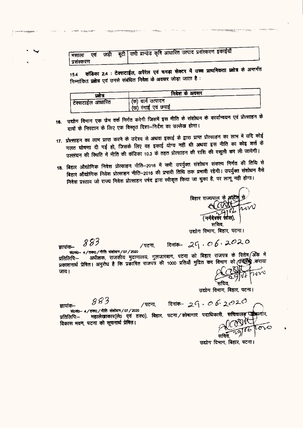| मिसाला एवं |  |  |  |  | न्च जड़ी बूटी सभी ब्रान्डेड कृषि आधारित उत्पाद प्रसंस्करण इकाईया |  |
|------------|--|--|--|--|------------------------------------------------------------------|--|
| प्रसंस्करण |  |  |  |  |                                                                  |  |

कंडिका 2.4 : टेक्सटाईल, अपैरेल एवं चमड़ा सेक्टर में उच्च प्राथमिकता प्रक्षेत्र के अन्तर्गत 15.4 निम्नांकित प्रक्षेत्र एवं उनसे संबंधित निवेश के अवसर जोड़ा जाता है:

| पक्षत्र            | निवेश के अवसर      |
|--------------------|--------------------|
| ' टेक्सटाईल आधारित | (क) याने उत्पादन   |
|                    | (ख) रंगाई एवं छपाई |

- उद्योग विभाग एक फ्रेम वर्क निर्गत करेगी जिसमें इस नीति के संशोधन के कार्यान्वयन एवं प्रोत्साहन के 16. दावों के निपटान के लिए एक विस्तृत दिशा-निर्देश का उल्लेख होगा।
- 17. प्रोत्साहन का लाभ प्राप्त करने के उदेश्य से अथवा इकाई के द्वारा प्राप्त प्रोत्साहन का लाभ में यदि कोई गलत घोषणा दी गई हो, जिसके लिए वह इकाई योग्य नहीं थी अथवा इस नीति का कोइ शर्त्त के उल्लंघन की स्थिति में नीति की कंडिका 10.3 के तहत प्रोत्साहन की राशि की वसूली कर ली जायेगी।
- 18. बिहार औद्योगिक निवेश प्रोत्साहन नीति–2016 में सभी उपर्युक्त संशोधन संकल्प निर्गत की तिथि से बिहार औद्योगिक निवेश प्रोत्साहन नीति-2016 की प्रभावी तिथि तक प्रभावी रहेगी। उपर्युक्त संशोधन वैसे निवेश प्रस्ताव जो राज्य निवेश प्रोत्साहन पर्षद द्वारा स्वीकृत किया जा चुका है, पर लागू नही होगा।

बिहार राज्यपा<u>ल</u> के 3 सचिव.

उद्योग विभाग, बिहार, पटना।

883 जापांक—

जापांक–

883

दिनांक- 29,06,2020 ∕ पटना,

सं0सं0- 4/तक0/नीति संशोधन/07/2020 अधीक्षक, राजकीय मुद्राणालय, गुलजारबाग, पटना को बिहार राजपत्र के विशेष अकि में प्रतिलिपि— प्रकाशनार्थ प्रेषित। अनुरोध है कि प्रकाषित राजपत्र की 1000 प्रतियाँ मुद्रित कर विभाग को उपलब्ध कराया जाय।

उद्योग विभाग, बिहार, पटना।

दिनांक- 29.06.2020

सं0सं0-- 4 / तक0 / नीति संशोधन / 07 / 2020 महालेखाकार(ले0 एवं हक0), बिहार, पटना / कोषागार पदाधिकारी, सचिवाल प्रतिलिपि— विकास भवन, पटना को सूचनार्थ प्रेषित।

/पटना.

उद्योग विभाग, बिहार, पटना।